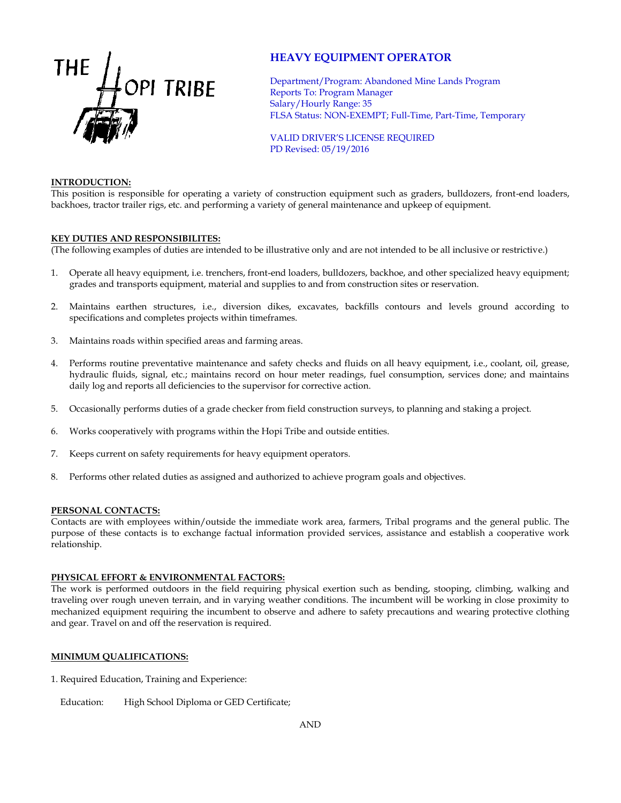

# **HEAVY EQUIPMENT OPERATOR**

Department/Program: Abandoned Mine Lands Program Reports To: Program Manager Salary/Hourly Range: 35 FLSA Status: NON-EXEMPT; Full-Time, Part-Time, Temporary

VALID DRIVER'S LICENSE REQUIRED PD Revised: 05/19/2016

#### **INTRODUCTION:**

This position is responsible for operating a variety of construction equipment such as graders, bulldozers, front-end loaders, backhoes, tractor trailer rigs, etc. and performing a variety of general maintenance and upkeep of equipment.

#### **KEY DUTIES AND RESPONSIBILITES:**

(The following examples of duties are intended to be illustrative only and are not intended to be all inclusive or restrictive.)

- 1. Operate all heavy equipment, i.e. trenchers, front-end loaders, bulldozers, backhoe, and other specialized heavy equipment; grades and transports equipment, material and supplies to and from construction sites or reservation.
- 2. Maintains earthen structures, i.e., diversion dikes, excavates, backfills contours and levels ground according to specifications and completes projects within timeframes.
- 3. Maintains roads within specified areas and farming areas.
- 4. Performs routine preventative maintenance and safety checks and fluids on all heavy equipment, i.e., coolant, oil, grease, hydraulic fluids, signal, etc.; maintains record on hour meter readings, fuel consumption, services done; and maintains daily log and reports all deficiencies to the supervisor for corrective action.
- 5. Occasionally performs duties of a grade checker from field construction surveys, to planning and staking a project.
- 6. Works cooperatively with programs within the Hopi Tribe and outside entities.
- 7. Keeps current on safety requirements for heavy equipment operators.
- 8. Performs other related duties as assigned and authorized to achieve program goals and objectives.

#### **PERSONAL CONTACTS:**

Contacts are with employees within/outside the immediate work area, farmers, Tribal programs and the general public. The purpose of these contacts is to exchange factual information provided services, assistance and establish a cooperative work relationship.

#### **PHYSICAL EFFORT & ENVIRONMENTAL FACTORS:**

The work is performed outdoors in the field requiring physical exertion such as bending, stooping, climbing, walking and traveling over rough uneven terrain, and in varying weather conditions. The incumbent will be working in close proximity to mechanized equipment requiring the incumbent to observe and adhere to safety precautions and wearing protective clothing and gear. Travel on and off the reservation is required.

## **MINIMUM QUALIFICATIONS:**

1. Required Education, Training and Experience:

Education: High School Diploma or GED Certificate;